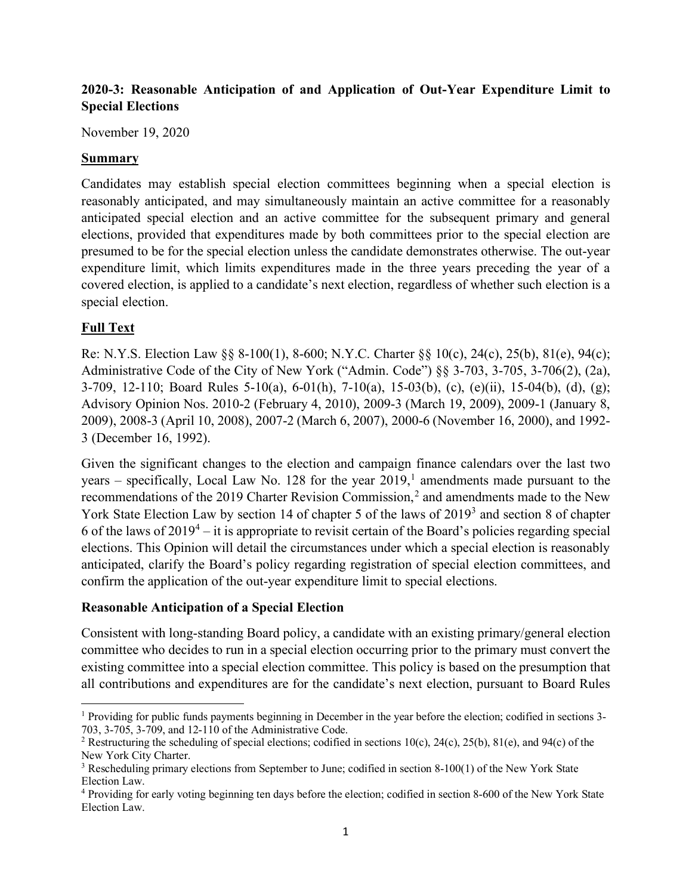# **2020-3: Reasonable Anticipation of and Application of Out-Year Expenditure Limit to Special Elections**

November 19, 2020

#### **Summary**

Candidates may establish special election committees beginning when a special election is reasonably anticipated, and may simultaneously maintain an active committee for a reasonably anticipated special election and an active committee for the subsequent primary and general elections, provided that expenditures made by both committees prior to the special election are presumed to be for the special election unless the candidate demonstrates otherwise. The out-year expenditure limit, which limits expenditures made in the three years preceding the year of a covered election, is applied to a candidate's next election, regardless of whether such election is a special election.

## **Full Text**

Re: N.Y.S. Election Law §§ 8-100(1), 8-600; N.Y.C. Charter §§ 10(c), 24(c), 25(b), 81(e), 94(c); Administrative Code of the City of New York ("Admin. Code") §§ 3-703, 3-705, 3-706(2), (2a), 3-709, 12-110; Board Rules 5-10(a), 6-01(h), 7-10(a), 15-03(b), (c), (e)(ii), 15-04(b), (d), (g); Advisory Opinion Nos. 2010-2 (February 4, 2010), 2009-3 (March 19, 2009), 2009-1 (January 8, 2009), 2008-3 (April 10, 2008), 2007-2 (March 6, 2007), 2000-6 (November 16, 2000), and 1992- 3 (December 16, 1992).

Given the significant changes to the election and campaign finance calendars over the last two years – specifically, Local Law No. 128 for the year 2019, [1](#page-0-0) amendments made pursuant to the recommendations of the [2](#page-0-1)019 Charter Revision Commission,<sup>2</sup> and amendments made to the New York State Election Law by section 14 of chapter 5 of the laws of 2019<sup>[3](#page-0-2)</sup> and section 8 of chapter 6 of the laws of  $2019^4$  $2019^4$  – it is appropriate to revisit certain of the Board's policies regarding special elections. This Opinion will detail the circumstances under which a special election is reasonably anticipated, clarify the Board's policy regarding registration of special election committees, and confirm the application of the out-year expenditure limit to special elections.

### **Reasonable Anticipation of a Special Election**

Consistent with long-standing Board policy, a candidate with an existing primary/general election committee who decides to run in a special election occurring prior to the primary must convert the existing committee into a special election committee. This policy is based on the presumption that all contributions and expenditures are for the candidate's next election, pursuant to Board Rules

<span id="page-0-0"></span><sup>1</sup> Providing for public funds payments beginning in December in the year before the election; codified in sections 3- 703, 3-705, 3-709, and 12-110 of the Administrative Code.

<span id="page-0-1"></span><sup>&</sup>lt;sup>2</sup> Restructuring the scheduling of special elections; codified in sections 10(c), 24(c), 25(b), 81(e), and 94(c) of the New York City Charter.

<span id="page-0-2"></span><sup>3</sup> Rescheduling primary elections from September to June; codified in section 8-100(1) of the New York State Election Law.

<span id="page-0-3"></span><sup>4</sup> Providing for early voting beginning ten days before the election; codified in section 8-600 of the New York State Election Law.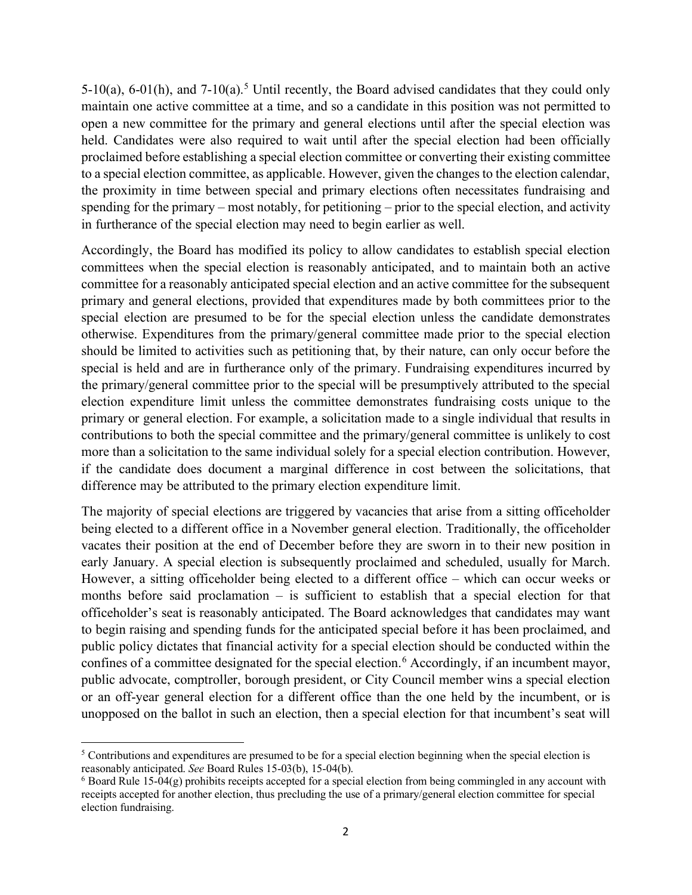[5](#page-1-0)-10(a), 6-01(h), and 7-10(a).<sup>5</sup> Until recently, the Board advised candidates that they could only maintain one active committee at a time, and so a candidate in this position was not permitted to open a new committee for the primary and general elections until after the special election was held. Candidates were also required to wait until after the special election had been officially proclaimed before establishing a special election committee or converting their existing committee to a special election committee, as applicable. However, given the changes to the election calendar, the proximity in time between special and primary elections often necessitates fundraising and spending for the primary – most notably, for petitioning – prior to the special election, and activity in furtherance of the special election may need to begin earlier as well.

Accordingly, the Board has modified its policy to allow candidates to establish special election committees when the special election is reasonably anticipated, and to maintain both an active committee for a reasonably anticipated special election and an active committee for the subsequent primary and general elections, provided that expenditures made by both committees prior to the special election are presumed to be for the special election unless the candidate demonstrates otherwise. Expenditures from the primary/general committee made prior to the special election should be limited to activities such as petitioning that, by their nature, can only occur before the special is held and are in furtherance only of the primary. Fundraising expenditures incurred by the primary/general committee prior to the special will be presumptively attributed to the special election expenditure limit unless the committee demonstrates fundraising costs unique to the primary or general election. For example, a solicitation made to a single individual that results in contributions to both the special committee and the primary/general committee is unlikely to cost more than a solicitation to the same individual solely for a special election contribution. However, if the candidate does document a marginal difference in cost between the solicitations, that difference may be attributed to the primary election expenditure limit.

The majority of special elections are triggered by vacancies that arise from a sitting officeholder being elected to a different office in a November general election. Traditionally, the officeholder vacates their position at the end of December before they are sworn in to their new position in early January. A special election is subsequently proclaimed and scheduled, usually for March. However, a sitting officeholder being elected to a different office – which can occur weeks or months before said proclamation – is sufficient to establish that a special election for that officeholder's seat is reasonably anticipated. The Board acknowledges that candidates may want to begin raising and spending funds for the anticipated special before it has been proclaimed, and public policy dictates that financial activity for a special election should be conducted within the confines of a committee designated for the special election.<sup>[6](#page-1-1)</sup> Accordingly, if an incumbent mayor, public advocate, comptroller, borough president, or City Council member wins a special election or an off-year general election for a different office than the one held by the incumbent, or is unopposed on the ballot in such an election, then a special election for that incumbent's seat will

<span id="page-1-0"></span><sup>5</sup> Contributions and expenditures are presumed to be for a special election beginning when the special election is reasonably anticipated. *See* Board Rules 15-03(b), 15-04(b).

<span id="page-1-1"></span> $6$  Board Rule 15-04(g) prohibits receipts accepted for a special election from being commingled in any account with receipts accepted for another election, thus precluding the use of a primary/general election committee for special election fundraising.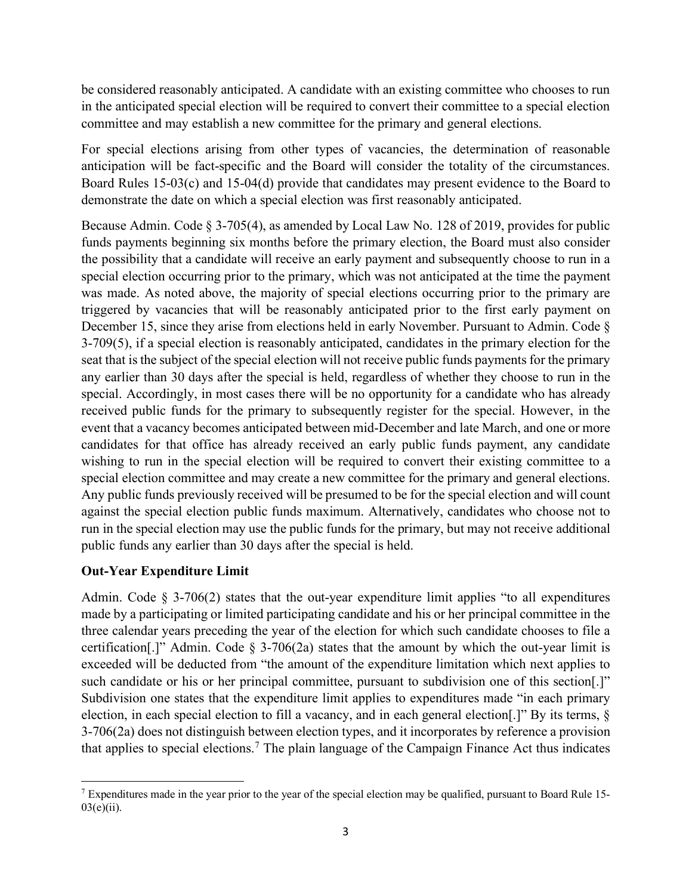be considered reasonably anticipated. A candidate with an existing committee who chooses to run in the anticipated special election will be required to convert their committee to a special election committee and may establish a new committee for the primary and general elections.

For special elections arising from other types of vacancies, the determination of reasonable anticipation will be fact-specific and the Board will consider the totality of the circumstances. Board Rules 15-03(c) and 15-04(d) provide that candidates may present evidence to the Board to demonstrate the date on which a special election was first reasonably anticipated.

Because Admin. Code § 3-705(4), as amended by Local Law No. 128 of 2019, provides for public funds payments beginning six months before the primary election, the Board must also consider the possibility that a candidate will receive an early payment and subsequently choose to run in a special election occurring prior to the primary, which was not anticipated at the time the payment was made. As noted above, the majority of special elections occurring prior to the primary are triggered by vacancies that will be reasonably anticipated prior to the first early payment on December 15, since they arise from elections held in early November. Pursuant to Admin. Code § 3-709(5), if a special election is reasonably anticipated, candidates in the primary election for the seat that is the subject of the special election will not receive public funds payments for the primary any earlier than 30 days after the special is held, regardless of whether they choose to run in the special. Accordingly, in most cases there will be no opportunity for a candidate who has already received public funds for the primary to subsequently register for the special. However, in the event that a vacancy becomes anticipated between mid-December and late March, and one or more candidates for that office has already received an early public funds payment, any candidate wishing to run in the special election will be required to convert their existing committee to a special election committee and may create a new committee for the primary and general elections. Any public funds previously received will be presumed to be for the special election and will count against the special election public funds maximum. Alternatively, candidates who choose not to run in the special election may use the public funds for the primary, but may not receive additional public funds any earlier than 30 days after the special is held.

### **Out-Year Expenditure Limit**

Admin. Code  $\S$  3-706(2) states that the out-year expenditure limit applies "to all expenditures made by a participating or limited participating candidate and his or her principal committee in the three calendar years preceding the year of the election for which such candidate chooses to file a certification<sup>[1]</sup>. Admin. Code  $\S$  3-706(2a) states that the amount by which the out-year limit is exceeded will be deducted from "the amount of the expenditure limitation which next applies to such candidate or his or her principal committee, pursuant to subdivision one of this section[.]" Subdivision one states that the expenditure limit applies to expenditures made "in each primary election, in each special election to fill a vacancy, and in each general election[.]" By its terms, § 3-706(2a) does not distinguish between election types, and it incorporates by reference a provision that applies to special elections.<sup>[7](#page-2-0)</sup> The plain language of the Campaign Finance Act thus indicates

<span id="page-2-0"></span> $<sup>7</sup>$  Expenditures made in the year prior to the year of the special election may be qualified, pursuant to Board Rule 15-</sup>  $03(e)(ii)$ .